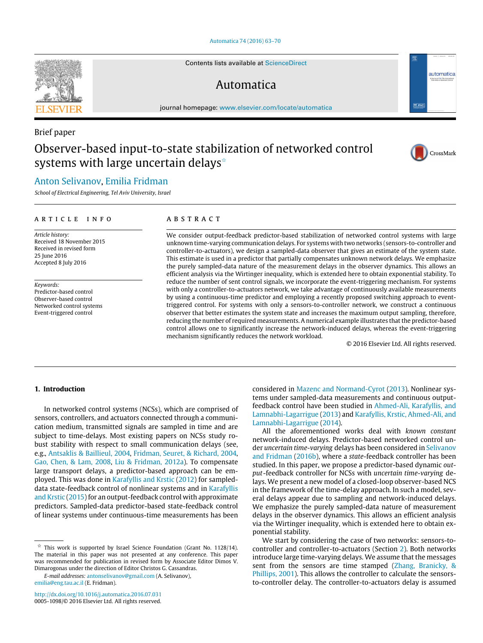#### [Automatica 74 \(2016\) 63–70](http://dx.doi.org/10.1016/j.automatica.2016.07.031)

Contents lists available at [ScienceDirect](http://www.elsevier.com/locate/automatica)

## Automatica

journal homepage: [www.elsevier.com/locate/automatica](http://www.elsevier.com/locate/automatica)

# Observer-based input-to-state stabilization of networked control systems with large uncertain delays<sup> $\hat{\ }$ </sup>

## [Anton Selivanov,](#page-7-0) [Emilia Fridman](#page-7-1)

*School of Electrical Engineering, Tel Aviv University, Israel*

#### a r t i c l e i n f o

*Article history:* Received 18 November 2015 Received in revised form 25 June 2016 Accepted 8 July 2016

*Keywords:* Predictor-based control Observer-based control Networked control systems Event-triggered control

## A B S T R A C T

We consider output-feedback predictor-based stabilization of networked control systems with large unknown time-varying communication delays. For systems with two networks (sensors-to-controller and controller-to-actuators), we design a sampled-data observer that gives an estimate of the system state. This estimate is used in a predictor that partially compensates unknown network delays. We emphasize the purely sampled-data nature of the measurement delays in the observer dynamics. This allows an efficient analysis via the Wirtinger inequality, which is extended here to obtain exponential stability. To reduce the number of sent control signals, we incorporate the event-triggering mechanism. For systems with only a controller-to-actuators network, we take advantage of continuously available measurements by using a continuous-time predictor and employing a recently proposed switching approach to eventtriggered control. For systems with only a sensors-to-controller network, we construct a continuous observer that better estimates the system state and increases the maximum output sampling, therefore, reducing the number of required measurements. A numerical example illustrates that the predictor-based control allows one to significantly increase the network-induced delays, whereas the event-triggering mechanism significantly reduces the network workload.

© 2016 Elsevier Ltd. All rights reserved.

#### **1. Introduction**

In networked control systems (NCSs), which are comprised of sensors, controllers, and actuators connected through a communication medium, transmitted signals are sampled in time and are subject to time-delays. Most existing papers on NCSs study robust stability with respect to small communication delays (see, e.g., [Antsaklis](#page-7-2) [&](#page-7-2) [Baillieul,](#page-7-2) [2004,](#page-7-2) [Fridman,](#page-7-3) [Seuret,](#page-7-3) [&](#page-7-3) [Richard,](#page-7-3) [2004,](#page-7-3) [Gao,](#page-7-4) [Chen,](#page-7-4) [&](#page-7-4) [Lam,](#page-7-4) [2008,](#page-7-4) [Liu](#page-7-5) [&](#page-7-5) [Fridman,](#page-7-5) [2012a\)](#page-7-5). To compensate large transport delays, a predictor-based approach can be employed. This was done in [Karafyllis](#page-7-6) [and](#page-7-6) [Krstic](#page-7-6) [\(2012\)](#page-7-6) for sampleddata state-feedback control of nonlinear systems and in [Karafyllis](#page-7-7) [and](#page-7-7) [Krstic](#page-7-7) [\(2015\)](#page-7-7) for an output-feedback control with approximate predictors. Sampled-data predictor-based state-feedback control of linear systems under continuous-time measurements has been

<span id="page-0-0"></span> $\overrightarrow{x}$  This work is supported by Israel Science Foundation (Grant No. 1128/14). The material in this paper was not presented at any conference. This paper was recommended for publication in revised form by Associate Editor Dimos V. Dimarogonas under the direction of Editor Christos G. Cassandras.

*E-mail addresses:* [antonselivanov@gmail.com](mailto:antonselivanov@gmail.com) (A. Selivanov), [emilia@eng.tau.ac.il](mailto:emilia@eng.tau.ac.il) (E. Fridman).

<http://dx.doi.org/10.1016/j.automatica.2016.07.031> 0005-1098/© 2016 Elsevier Ltd. All rights reserved. considered in [Mazenc](#page-7-8) [and](#page-7-8) [Normand-Cyrot](#page-7-8) [\(2013\)](#page-7-8). Nonlinear systems under sampled-data measurements and continuous outputfeedback control have been studied in [Ahmed-Ali,](#page-7-9) [Karafyllis,](#page-7-9) [and](#page-7-9) [Lamnabhi-Lagarrigue](#page-7-9) [\(2013\)](#page-7-9) and [Karafyllis,](#page-7-10) [Krstic,](#page-7-10) [Ahmed-Ali,](#page-7-10) [and](#page-7-10) [Lamnabhi-Lagarrigue](#page-7-10) [\(2014\)](#page-7-10).

All the aforementioned works deal with *known constant* network-induced delays. Predictor-based networked control under *uncertain time-varying* delays has been considered in [Selivanov](#page-7-11) [and](#page-7-11) [Fridman](#page-7-11) [\(2016b\)](#page-7-11), where a *state*-feedback controller has been studied. In this paper, we propose a predictor-based dynamic *output*-feedback controller for NCSs with *uncertain time-varying* delays. We present a new model of a closed-loop observer-based NCS in the framework of the time-delay approach. In such a model, several delays appear due to sampling and network-induced delays. We emphasize the purely sampled-data nature of measurement delays in the observer dynamics. This allows an efficient analysis via the Wirtinger inequality, which is extended here to obtain exponential stability.

We start by considering the case of two networks: sensors-tocontroller and controller-to-actuators (Section [2\)](#page-1-0). Both networks introduce large time-varying delays. We assume that the messages sent from the sensors are time stamped [\(Zhang,](#page-7-12) [Branicky,](#page-7-12) [&](#page-7-12) [Phillips,](#page-7-12) [2001\)](#page-7-12). This allows the controller to calculate the sensorsto-controller delay. The controller-to-actuators delay is assumed



Brief paper



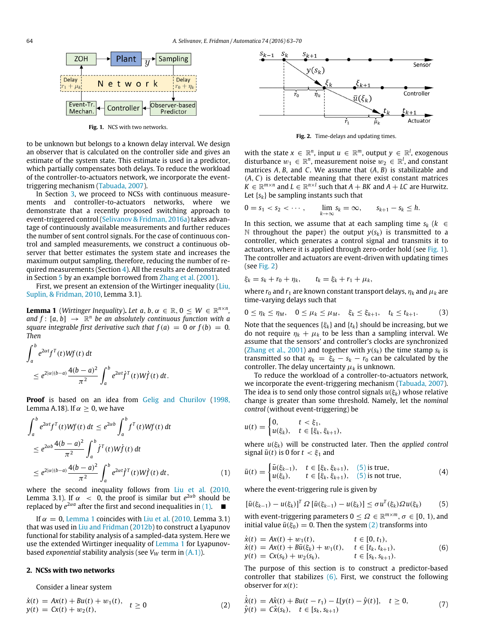<span id="page-1-3"></span>

**Fig. 1.** NCS with two networks.

to be unknown but belongs to a known delay interval. We design an observer that is calculated on the controller side and gives an estimate of the system state. This estimate is used in a predictor, which partially compensates both delays. To reduce the workload of the controller-to-actuators network, we incorporate the eventtriggering mechanism [\(Tabuada,](#page-7-13) [2007\)](#page-7-13).

In Section [3,](#page-3-0) we proceed to NCSs with continuous measurements and controller-to-actuators networks, where we demonstrate that a recently proposed switching approach to event-triggered control [\(Selivanov & Fridman, 2016a\)](#page-7-14) takes advantage of continuously available measurements and further reduces the number of sent control signals. For the case of continuous control and sampled measurements, we construct a continuous observer that better estimates the system state and increases the maximum output sampling, therefore, reducing the number of required measurements (Section [4\)](#page-4-0). All the results are demonstrated in Section [5](#page-4-1) by an example borrowed from [Zhang](#page-7-12) [et al.](#page-7-12) [\(2001\)](#page-7-12).

First, we present an extension of the Wirtinger inequality [\(Liu,](#page-7-15) [Suplin,](#page-7-15) [&](#page-7-15) [Fridman,](#page-7-15) [2010,](#page-7-15) Lemma 3.1).

<span id="page-1-2"></span>**Lemma 1** (*Wirtinger Inequality*). Let  $a, b, \alpha \in \mathbb{R}, 0 \leq W \in \mathbb{R}^{n \times n}$ ,  $\int f : [a, b] \rightarrow \mathbb{R}^n$  be an absolutely continuous function with a *square integrable first derivative such that*  $f(a) = 0$  *or*  $f(b) = 0$ *. Then*

$$
\int_a^b e^{2\alpha t} f^T(t)Wf(t) dt
$$
  
\n
$$
\leq e^{2|\alpha| (b-a)} \frac{4(b-a)^2}{\pi^2} \int_a^b e^{2\alpha t} f^T(t)Wf(t) dt.
$$

**Proof** is based on an idea from [Gelig](#page-7-16) [and](#page-7-16) [Churilov](#page-7-16) [\(1998,](#page-7-16) Lemma A.18). If  $\alpha \geq 0$ , we have

$$
\int_{a}^{b} e^{2\alpha t} f^{T}(t)Wf(t) dt \le e^{2\alpha b} \int_{a}^{b} f^{T}(t)Wf(t) dt
$$
  
\n
$$
\le e^{2\alpha b} \frac{4(b-a)^{2}}{\pi^{2}} \int_{a}^{b} f^{T}(t)Wf(t) dt
$$
  
\n
$$
\le e^{2|\alpha|(b-a)} \frac{4(b-a)^{2}}{\pi^{2}} \int_{a}^{b} e^{2\alpha t} f^{T}(t)Wf(t) dt,
$$
 (1)

where the second inequality follows from [Liu](#page-7-15) [et al.](#page-7-15) [\(2010,](#page-7-15) Lemma 3.1). If  $\alpha \, < \, 0$ , the proof is similar but  $e^{2\alpha b}$  should be replaced by  $e^{2\alpha a}$  after the first and second inequalities in [\(1\).](#page-1-1)  $\Box$ 

If  $\alpha = 0$ , [Lemma 1](#page-1-2) coincides with [Liu](#page-7-15) [et al.](#page-7-15) [\(2010,](#page-7-15) Lemma 3.1) that was used in [Liu](#page-7-17) [and](#page-7-17) [Fridman](#page-7-17) [\(2012b\)](#page-7-17) to construct a Lyapunov functional for stability analysis of a sampled-data system. Here we use the extended Wirtinger inequality of [Lemma 1](#page-1-2) for Lyapunovbased *exponential* stability analysis (see *V<sup>W</sup>* term in [\(A.1\)\)](#page-5-0).

#### <span id="page-1-0"></span>**2. NCSs with two networks**

Consider a linear system

$$
\dot{x}(t) = Ax(t) + Bu(t) + w_1(t), \quad t \ge 0
$$
  
\n
$$
y(t) = Cx(t) + w_2(t), \qquad t \ge 0
$$
\n(2)

<span id="page-1-4"></span>

**Fig. 2.** Time-delays and updating times.

with the state  $x \in \mathbb{R}^n$ , input  $u \in \mathbb{R}^m$ , output  $y \in \mathbb{R}^l$ , exogenous disturbance  $w_1 \in \mathbb{R}^n$ , measurement noise  $w_2 \in \mathbb{R}^l$ , and constant matrices *A*, *B*, and *C*. We assume that (*A*, *B*) is stabilizable and (*A*, *C*) is detectable meaning that there exist constant matrices  $K \in \mathbb{R}^{m \times n}$  and  $L \in \mathbb{R}^{n \times l}$  such that  $A + BK$  and  $A + LC$  are Hurwitz. Let {*sk*} be sampling instants such that

$$
0 = s_1 < s_2 < \cdots, \qquad \lim_{k \to \infty} s_k = \infty, \qquad s_{k+1} - s_k \leq h.
$$

In this section, we assume that at each sampling time *s<sup>k</sup>* (*k* ∈ N throughout the paper) the output  $y(s_k)$  is transmitted to a controller, which generates a control signal and transmits it to actuators, where it is applied through zero-order hold (see [Fig. 1\)](#page-1-3). The controller and actuators are event-driven with updating times (see [Fig. 2\)](#page-1-4)

$$
\xi_k = s_k + r_0 + \eta_k, \qquad t_k = \xi_k + r_1 + \mu_k,
$$

where  $r_0$  and  $r_1$  are known constant transport delays,  $\eta_k$  and  $\mu_k$  are time-varying delays such that

$$
0\leq \eta_k\leq \eta_M,\quad 0\leq \mu_k\leq \mu_M,\quad \xi_k\leq \xi_{k+1},\quad t_k\leq t_{k+1}.\tag{3}
$$

<span id="page-1-10"></span>Note that the sequences  $\{\xi_k\}$  and  $\{t_k\}$  should be increasing, but we do not require  $\eta_k + \mu_k$  to be less than a sampling interval. We assume that the sensors' and controller's clocks are synchronized [\(Zhang](#page-7-12) [et al.,](#page-7-12) [2001\)](#page-7-12) and together with  $y(s_k)$  the time stamp  $s_k$  is transmitted so that  $\eta_k = \xi_k - s_k - r_0$  can be calculated by the controller. The delay uncertainty  $\mu_k$  is unknown.

To reduce the workload of a controller-to-actuators network, we incorporate the event-triggering mechanism [\(Tabuada,](#page-7-13) [2007\)](#page-7-13). The idea is to send only those control signals  $u(\xi_k)$  whose relative change is greater than some threshold. Namely, let the *nominal control* (without event-triggering) be

$$
u(t) = \begin{cases} 0, & t < \xi_1, \\ u(\xi_k), & t \in [\xi_k, \xi_{k+1}), \end{cases}
$$

where *u*(ξ*k*) will be constructed later. Then the *applied control* signal  $\bar{u}(t)$  is 0 for  $t < \xi_1$  and

<span id="page-1-9"></span><span id="page-1-1"></span>
$$
\bar{u}(t) = \begin{cases}\n\bar{u}(\xi_{k-1}), & t \in [\xi_k, \xi_{k+1}), (5) \text{ is true}, \\
u(\xi_k), & t \in [\xi_k, \xi_{k+1}), (5) \text{ is not true},\n\end{cases}
$$
\n(4)

where the event-triggering rule is given by

<span id="page-1-5"></span>
$$
\left[\bar{u}(\xi_{k-1}) - u(\xi_k)\right]^T \Omega \left[\bar{u}(\xi_{k-1}) - u(\xi_k)\right] \le \sigma u^T(\xi_k) \Omega u(\xi_k) \tag{5}
$$

with event-triggering parameters  $0 \leq \Omega \in \mathbb{R}^{m \times m}$ ,  $\sigma \in [0, 1)$ , and initial value  $\bar{u}(\xi_0) = 0$ . Then the system [\(2\)](#page-1-6) transforms into

<span id="page-1-7"></span>
$$
\dot{x}(t) = Ax(t) + w_1(t), \t t \in [0, t_1), \n\dot{x}(t) = Ax(t) + B\bar{u}(\xi_k) + w_1(t), \t t \in [t_k, t_{k+1}), \ny(t) = Cx(s_k) + w_2(s_k), \t t \in [s_k, s_{k+1}).
$$
\n(6)

The purpose of this section is to construct a predictor-based controller that stabilizes  $(6)$ . First, we construct the following observer for *x*(*t*):

<span id="page-1-8"></span><span id="page-1-6"></span>
$$
\dot{\hat{x}}(t) = A\hat{x}(t) + Bu(t - r_1) - L[y(t) - \hat{y}(t)], \quad t \ge 0,
$$
\n
$$
\hat{y}(t) = C\hat{x}(s_k), \quad t \in [s_k, s_{k+1})
$$
\n(7)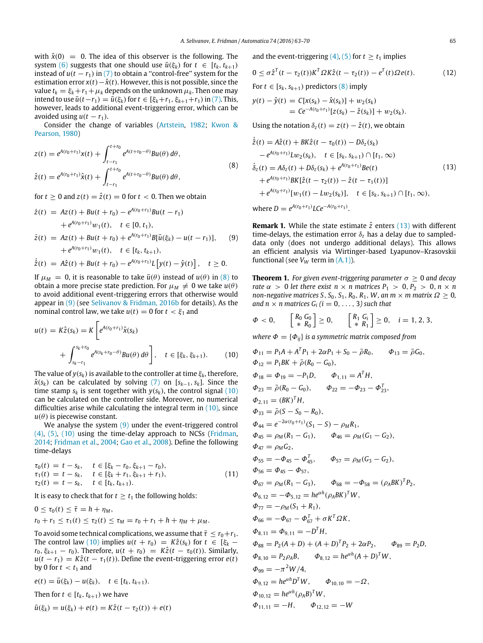with  $\hat{x}(0) = 0$ . The idea of this observer is the following. The system [\(6\)](#page-1-7) suggests that one should use  $\bar{u}(\xi_k)$  for  $t \in [t_k, t_{k+1})$ instead of  $u(t - r_1)$  in [\(7\)](#page-1-8) to obtain a "control-free" system for the estimation error  $x(t) - \hat{x}(t)$ . However, this is not possible, since the value  $t_k = \xi_k + r_1 + \mu_k$  depends on the unknown  $\mu_k$ . Then one may intend to use  $\bar{u}(t - r_1) = \bar{u}(\xi_k)$  for  $t \in [\xi_k + r_1, \xi_{k+1} + r_1)$  in [\(7\).](#page-1-8) This, however, leads to additional event-triggering error, which can be avoided using  $u(t - r_1)$ .

Consider the change of variables [\(Artstein,](#page-7-18) [1982;](#page-7-18) [Kwon](#page-7-19) [&](#page-7-19) [Pearson,](#page-7-19) [1980\)](#page-7-19)

$$
z(t) = e^{A(r_0 + r_1)}x(t) + \int_{t-r_1}^{t+r_0} e^{A(t+r_0 - \theta)}Bu(\theta) d\theta,
$$
  
\n
$$
\hat{z}(t) = e^{A(r_0 + r_1)}\hat{x}(t) + \int_{t-r_1}^{t+r_0} e^{A(t+r_0 - \theta)}Bu(\theta) d\theta,
$$
\n(8)

for  $t \geq 0$  and  $z(t) = \hat{z}(t) = 0$  for  $t < 0$ . Then we obtain

$$
\dot{z}(t) = Az(t) + Bu(t + r_0) - e^{A(r_0 + r_1)}Bu(t - r_1) \n+ e^{A(r_0 + r_1)}w_1(t), \quad t \in [0, t_1), \n\dot{z}(t) = Az(t) + Bu(t + r_0) + e^{A(r_0 + r_1)}B[\bar{u}(\xi_k) - u(t - r_1)], \quad (9) \n+ e^{A(r_0 + r_1)}w_1(t), \quad t \in [t_k, t_{k+1}),
$$

*<sup>A</sup>*(*r*0+*r*1)

$$
\dot{\hat{z}}(t) = A\hat{z}(t) + Bu(t + r_0) - e^{A(r_0 + r_1)}L[y(t) - \hat{y}(t)], \quad t \ge 0.
$$

If  $\mu_M = 0$ , it is reasonable to take  $\bar{u}(\theta)$  instead of  $u(\theta)$  in [\(8\)](#page-2-0) to obtain a more precise state prediction. For  $\mu_M \neq 0$  we take  $u(\theta)$ to avoid additional event-triggering errors that otherwise would appear in [\(9\)](#page-2-1) (see [Selivanov & Fridman, 2016b](#page-7-11) for details). As the nominal control law, we take  $u(t) = 0$  for  $t < \xi_1$  and

$$
u(t) = K\hat{z}(s_k) = K \left[ e^{A(r_0 + r_1)} \hat{x}(s_k) + \int_{s_k - r_1}^{s_k + r_0} e^{A(s_k + r_0 - \theta)} Bu(\theta) d\theta \right], \quad t \in [\xi_k, \xi_{k+1}).
$$
 (10)

The value of  $y(s_k)$  is available to the controller at time  $\xi_k$ , therefore,  $\hat{x}(s_k)$  can be calculated by solving [\(7\)](#page-1-8) on [ $s_{k-1}, s_k$ ]. Since the time stamp  $s_k$  is sent together with  $y(s_k)$ , the control signal [\(10\)](#page-2-2) can be calculated on the controller side. Moreover, no numerical difficulties arise while calculating the integral term in [\(10\),](#page-2-2) since  $u(\theta)$  is piecewise constant.

We analyse the system  $(9)$  under the event-triggered control [\(4\),](#page-1-9) [\(5\),](#page-1-5) [\(10\)](#page-2-2) using the time-delay approach to NCSs [\(Fridman,](#page-7-20) [2014;](#page-7-20) [Fridman](#page-7-3) [et al.,](#page-7-3) [2004;](#page-7-3) [Gao](#page-7-4) [et al.,](#page-7-4) [2008\)](#page-7-4). Define the following time-delays

$$
\tau_0(t) = t - s_k, \quad t \in [\xi_k - r_0, \xi_{k+1} - r_0), \n\tau_1(t) = t - s_k, \quad t \in [\xi_k + r_1, \xi_{k+1} + r_1), \n\tau_2(t) = t - s_k, \quad t \in [t_k, t_{k+1}).
$$
\n(11)

It is easy to check that for  $t \geq t_1$  the following holds:

$$
0 \leq \tau_0(t) \leq \bar{\tau} = h + \eta_M,
$$
  
\n
$$
r_0 + r_1 \leq \tau_1(t) \leq \tau_2(t) \leq \tau_M = r_0 + r_1 + h + \eta_M + \mu_M.
$$

To avoid some technical complications, we assume that  $\bar{\tau} \leq r_0 + r_1$ . The control law [\(10\)](#page-2-2) implies  $u(t + r_0) = K\hat{z}(s_k)$  for  $t \in [\xi_k$ *r*<sub>0</sub>,  $\xi_{k+1}$  − *r*<sub>0</sub>). Therefore, *u*(*t* + *r*<sub>0</sub>) = *K*<sup>2</sup>(*t* − *r*<sub>0</sub>(*t*)). Similarly,  $u(t - r_1) = K\hat{z}(t - \tau_1(t))$ . Define the event-triggering error *e*(*t*) by 0 for  $t < t_1$  and

$$
e(t) = \bar{u}(\xi_k) - u(\xi_k), \quad t \in [t_k, t_{k+1}).
$$
  
Then for  $t \in [t_k, t_{k+1})$  we have

$$
\bar{u}(\xi_k) = u(\xi_k) + e(t) = K\hat{z}(t - \tau_2(t)) + e(t)
$$

<span id="page-2-5"></span>and the event-triggering  $(4)$ ,  $(5)$  for  $t \ge t_1$  implies

$$
0 \leq \sigma \hat{z}^{T}(t-\tau_2(t))K^{T}\Omega K\hat{z}(t-\tau_2(t)) - e^{T}(t)\Omega e(t).
$$
 (12)

For  $t \in [s_k, s_{k+1})$  predictors  $(8)$  imply

$$
y(t) - \hat{y}(t) = C[x(s_k) - \hat{x}(s_k)] + w_2(s_k)
$$
  
=  $Ce^{-A(r_0+r_1)}[z(s_k) - \hat{z}(s_k)] + w_2(s_k)$ .

<span id="page-2-3"></span>Using the notation  $\delta_z(t) = z(t) - \hat{z}(t)$ , we obtain

<span id="page-2-0"></span>
$$
\dot{\hat{z}}(t) = A\hat{z}(t) + BK\hat{z}(t - \tau_0(t)) - D\delta_z(s_k) \n- e^{A(r_0 + r_1)}Lw_2(s_k), \quad t \in [s_k, s_{k+1}) \cap [t_1, \infty) \n\dot{\delta}_z(t) = A\delta_z(t) + D\delta_z(s_k) + e^{A(r_0 + r_1)}Be(t) \n+ e^{A(r_0 + r_1)}BK[\hat{z}(t - \tau_2(t)) - \hat{z}(t - \tau_1(t))] \n+ e^{A(r_0 + r_1)}[w_1(t) - Lw_2(s_k)], \quad t \in [s_k, s_{k+1}) \cap [t_1, \infty),
$$
\n(13)

<span id="page-2-1"></span>where  $D = e^{A(r_0 + r_1)} L C e^{-A(r_0 + r_1)}$ .

**Remark 1.** While the state estimate  $\hat{z}$  enters [\(13\)](#page-2-3) with different time-delays, the estimation error  $\delta_z$  has a delay due to sampleddata only (does not undergo additional delays). This allows an efficient analysis via Wirtinger-based Lyapunov–Krasovskii functional (see  $V_W$  term in  $(A.1)$ ).

<span id="page-2-4"></span>**Theorem 1.** *For given event-triggering parameter*  $\sigma \geq 0$  *and decay rate*  $\alpha > 0$  *let there exist*  $n \times n$  *matrices*  $P_1 > 0, P_2 > 0, n \times n$ *non-negative matrices S*, *S*<sub>0</sub>, *S*<sub>1</sub>, *R*<sub>0</sub>, *R*<sub>1</sub>, *W*, *an m*  $\times$  *m matrix*  $\Omega \geq 0$ , *and n*  $\times$  *n* matrices  $G_i$  ( $i = 0, \ldots, 3$ ) such that

$$
\Phi < 0, \qquad \begin{bmatrix} R_0 & G_0 \\ * & R_0 \end{bmatrix} \geq 0, \qquad \begin{bmatrix} R_1 & G_i \\ * & R_1 \end{bmatrix} \geq 0, \quad i = 1, 2, 3,
$$

*where*  $\Phi = {\Phi_{ij}}$  *is a symmetric matrix composed from* 

<span id="page-2-2"></span>
$$
\Phi_{11} = P_1 A + A^T P_1 + 2\alpha P_1 + S_0 - \bar{\rho} R_0, \quad \Phi_{13} = \bar{\rho} G_0, \n\Phi_{12} = P_1 BK + \bar{\rho} (R_0 - G_0), \n\Phi_{18} = \Phi_{19} = -P_1 D, \quad \Phi_{1,11} = A^T H, \n\Phi_{23} = \bar{\rho} (R_0 - G_0), \quad \Phi_{22} = -\Phi_{23} - \Phi_{23}^T, \n\Phi_{2,11} = (BK)^T H, \n\Phi_{33} = \bar{\rho} (S - S_0 - R_0), \n\Phi_{44} = e^{-2\alpha (r_0 + r_1)} (S_1 - S) - \rho_M R_1, \n\Phi_{45} = \rho_M (R_1 - G_1), \quad \Phi_{46} = \rho_M (G_1 - G_2), \n\Phi_{47} = \rho_M G_2, \n\Phi_{55} = -\Phi_{45} - \Phi_{45}^T, \quad \Phi_{57} = \rho_M (G_3 - G_2), \n\Phi_{56} = \Phi_{45} - \Phi_{57}, \n\Phi_{67} = \rho_M (R_1 - G_3), \quad \Phi_{68} = -\Phi_{58} = (\rho_A BK)^T P_2, \n\Phi_{6,12} = -\Phi_{5,12} = h e^{\alpha h} (\rho_A BK)^T W, \n\Phi_{77} = -\rho_M (S_1 + R_1), \n\Phi_{66} = -\Phi_{67} - \Phi_{67}^T + \sigma K^T \Omega K, \n\Phi_{8,11} = \Phi_{9,11} = -D^T H, \n\Phi_{88} = P_2 (A + D) + (A + D)^T P_2 + 2\alpha P_2, \quad \Phi_{89} = P_2 D, \n\Phi_{8,10} = P_2 \rho_A B, \quad \Phi_{8,12} = h e^{\alpha h} (A + D)^T W, \n\Phi_{99} = -\pi^2 W / 4, \n\Phi_{9,12} = h e^{\alpha h} D^T W, \quad \Phi_{10,10} = -\Omega, \n\Phi_{10,12} = h e^{\alpha h} (\
$$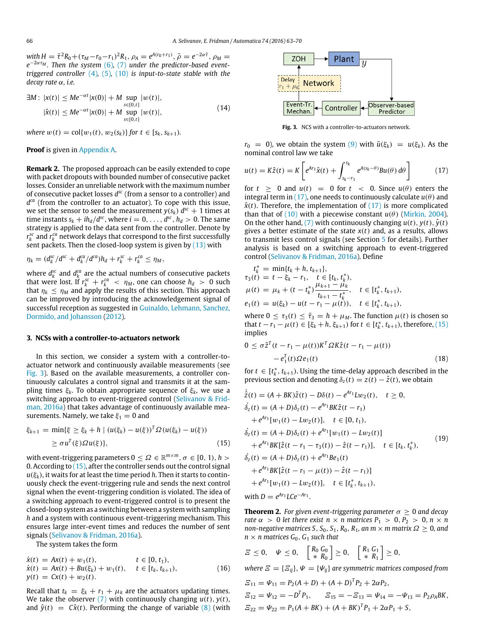$\omega$ *with*  $H = \bar{\tau}^2 R_0 + (\tau_M - r_0 - r_1)^2 R_1$ ,  $\rho_A = e^{A(r_0 + r_1)}$ ,  $\bar{\rho} = e^{-2\alpha \bar{\tau}}$ ,  $\rho_M =$ *e* <sup>−</sup>2ατ*<sup>M</sup> . Then the system* [\(6\)](#page-1-7)*,* [\(7\)](#page-1-8) *under the predictor-based eventtriggered controller* [\(4\)](#page-1-9)*,* [\(5\)](#page-1-5)*,* [\(10\)](#page-2-2) *is input-to-state stable with the decay rate* α*, i.e.*

$$
\exists M : |x(t)| \le Me^{-\alpha t} |x(0)| + M \sup_{\substack{s \in [0, t] \\ s \in [0, t]}} |w(t)|,
$$
  
 
$$
|\hat{x}(t)| \le Me^{-\alpha t} |x(0)| + M \sup_{\substack{s \in [0, t] \\ s \in [0, t]}} |w(t)|,
$$
 (14)

*where*  $w(t) = \text{col}\{w_1(t), w_2(s_k)\}$  *for*  $t \in [s_k, s_{k+1})$ *.* 

**Proof** is given in [Appendix A.](#page-5-1)

**Remark 2.** The proposed approach can be easily extended to cope with packet dropouts with bounded number of consecutive packet losses. Consider an unreliable network with the maximum number of consecutive packet losses  $d^{sc}$  (from a sensor to a controller) and *d ca* (from the controller to an actuator). To cope with this issue, we set the sensor to send the measurement  $y(s_k) d^{sc} + 1$  times at time instants  $s_k + ih_d/d^{sc}$ , where  $i = 0, \ldots, d^{sc}, h_d > 0$ . The same strategy is applied to the data sent from the controller. Denote by  $r_k^{sc}$  and  $r_k^{ca}$  network delays that correspond to the first successfully sent packets. Then the closed-loop system is given by [\(13\)](#page-2-3) with

$$
\eta_k = (d_k^{sc}/d^{sc} + d_k^{ca}/d^{ca})h_d + r_k^{sc} + r_k^{ca} \leq \eta_M,
$$

where  $d_k^{\text{sc}}$  and  $d_k^{\text{ca}}$  are the actual numbers of consecutive packets that were lost. If  $r_k^{sc} + r_k^{ca} < \eta_M$ , one can choose  $h_d > 0$  such that  $\eta_k \leq \eta_M$  and apply the results of this section. This approach can be improved by introducing the acknowledgement signal of successful reception as suggested in [Guinaldo,](#page-7-21) [Lehmann,](#page-7-21) [Sanchez,](#page-7-21) [Dormido,](#page-7-21) [and](#page-7-21) [Johansson](#page-7-21) [\(2012\)](#page-7-21).

#### <span id="page-3-0"></span>**3. NCSs with a controller-to-actuators network**

In this section, we consider a system with a controller-toactuator network and continuously available measurements (see [Fig. 3\)](#page-3-1). Based on the available measurements, a controller continuously calculates a control signal and transmits it at the sampling times ξ*k*. To obtain appropriate sequence of ξ*k*, we use a [s](#page-7-14)witching approach to event-triggered control [\(Selivanov & Frid](#page-7-14)[man, 2016a\)](#page-7-14) that takes advantage of continuously available measurements. Namely, we take  $\xi_1 = 0$  and

$$
\xi_{k+1} = \min\{\xi \ge \xi_k + h \mid (u(\xi_k) - u(\xi))^T \Omega (u(\xi_k) - u(\xi))
$$
  
 
$$
\ge \sigma u^T(\xi) \Omega u(\xi) \}, \tag{15}
$$

with event-triggering parameters  $0 \leq \Omega \in \mathbb{R}^{m \times m}$ ,  $\sigma \in [0, 1)$ ,  $h > 0$ 0. According to [\(15\),](#page-3-2) after the controller sends out the control signal  $u(\xi_k)$ , it waits for at least the time period *h*. Then it starts to continuously check the event-triggering rule and sends the next control signal when the event-triggering condition is violated. The idea of a switching approach to event-triggered control is to present the closed-loop system as a switching between a system with sampling *h* and a system with continuous event-triggering mechanism. This ensures large inter-event times and reduces the number of sent signals [\(Selivanov & Fridman, 2016a\)](#page-7-14).

The system takes the form

$$
\dot{x}(t) = Ax(t) + w_1(t), \t t \in [0, t_1),\n\dot{x}(t) = Ax(t) + Bu(\xi_k) + w_1(t), \t t \in [t_k, t_{k+1}),\ny(t) = Cx(t) + w_2(t).
$$
\n(16)

Recall that  $t_k = \xi_k + r_1 + \mu_k$  are the actuators updating times. We take the observer [\(7\)](#page-1-8) with continuously changing *u*(*t*), *y*(*t*), and  $\hat{y}(t) = C\hat{x}(t)$ . Performing the change of variable  $(8)$  (with

<span id="page-3-1"></span>

<span id="page-3-3"></span>**Fig. 3.** NCS with a controller-to-actuators network.

<span id="page-3-4"></span> $r_0 = 0$ ), we obtain the system [\(9\)](#page-2-1) with  $\bar{u}(\xi_k) = u(\xi_k)$ . As the nominal control law we take

$$
u(t) = K\hat{z}(t) = K \left[ e^{Ar_1}\hat{x}(t) + \int_{s_k - r_1}^{s_k} e^{A(s_k - \theta)}Bu(\theta) d\theta \right]
$$
(17)

for  $t \ge 0$  and  $u(t) = 0$  for  $t < 0$ . Since  $u(\theta)$  enters the integral term in [\(17\),](#page-3-3) one needs to continuously calculate  $u(\theta)$  and  $\hat{x}(t)$ . Therefore, the implementation of  $(17)$  is more complicated than that of  $(10)$  with a piecewise constant  $u(\theta)$  [\(Mirkin,](#page-7-22) [2004\)](#page-7-22). On the other hand, [\(7\)](#page-1-8) with continuously changing  $u(t)$ ,  $y(t)$ ,  $\hat{y}(t)$ gives a better estimate of the state *x*(*t*) and, as a results, allows to transmit less control signals (see Section [5](#page-4-1) for details). Further analysis is based on a switching approach to event-triggered control [\(Selivanov & Fridman, 2016a\)](#page-7-14). Define

$$
t_k^* = \min\{t_k + h, t_{k+1}\},
$$
  
\n
$$
\tau_3(t) = t - \xi_k - r_1, \quad t \in [t_k, t_k^*),
$$
  
\n
$$
\mu(t) = \mu_k + (t - t_k^*) \frac{\mu_{k+1} - \mu_k}{t_{k+1} - t_k^*}, \quad t \in [t_k^*, t_{k+1}),
$$
  
\n
$$
e_1(t) = u(\xi_k) - u(t - r_1 - \mu(t)), \quad t \in [t_k^*, t_{k+1}),
$$

where  $0 \le \tau_3(t) \le \bar{\tau}_3 = h + \mu_M$ . The function  $\mu(t)$  is chosen so that *t* − *r*<sub>1</sub> −  $\mu$ (*t*) ∈ [ $\xi_k$  + *h*,  $\xi_{k+1}$ ) for *t* ∈ [ $t_k^*$ ,  $t_{k+1}$ ), therefore, [\(15\)](#page-3-2) implies

<span id="page-3-7"></span><span id="page-3-6"></span>
$$
\leq \sigma \hat{z}^{T} (t - r_{1} - \mu(t)) K^{T} \Omega K \hat{z} (t - r_{1} - \mu(t))
$$

$$
- e_{1}^{T}(t) \Omega e_{1}(t) \qquad (18)
$$

for  $t \in [t_k^*, t_{k+1})$ . Using the time-delay approach described in the previous section and denoting  $\delta_z(t) = z(t) - \hat{z}(t)$ , we obtain

<span id="page-3-2"></span>
$$
\dot{\hat{z}}(t) = (A + BK)\hat{z}(t) - D\delta(t) - e^{Ar_1}Lw_2(t), \quad t \ge 0,
$$
\n
$$
\dot{\delta}_z(t) = (A + D)\delta_z(t) - e^{Ar_1}BK\hat{z}(t - r_1) + e^{Ar_1}[w_1(t) - Lw_2(t)], \quad t \in [0, t_1),
$$
\n
$$
\dot{\delta}_z(t) = (A + D)\delta_z(t) + e^{Ar_1}[w_1(t) - Lw_2(t)] + e^{Ar_1}BK[\hat{z}(t - r_1 - \tau_3(t)) - \hat{z}(t - r_1)], \quad t \in [t_k, t_k^*),
$$
\n
$$
\dot{\delta}_z(t) = (A + D)\delta_z(t) + e^{Ar_1}Be_1(t) + e^{Ar_1}BK[\hat{z}(t - r_1 - \mu(t)) - \hat{z}(t - r_1)] + e^{Ar_1}[w_1(t) - Lw_2(t)], \quad t \in [t_k^*, t_{k+1}),
$$
\n(19)

 $with D = e^{Ar_1} L C e^{-Ar_1}.$ 

0 ≤ σ*z*ˆ

<span id="page-3-5"></span>**Theorem 2.** For given event-triggering parameter  $\sigma \geq 0$  and decay *rate*  $\alpha > 0$  *let there exist*  $n \times n$  *matrices*  $P_1 > 0, P_2 > 0, n \times n$ *non-negative matrices*  $S$ ,  $S_0$ ,  $S_1$ ,  $R_0$ ,  $R_1$ , an  $m \times m$  matrix  $\Omega \geq 0$ , and  $n \times n$  *matrices*  $G_0$ ,  $G_1$  *such that* 

$$
\mathcal{Z}\leq 0,\quad \Psi\leq 0,\quad \left[\begin{array}{cc}R_0\ G_0\\ * \ R_0\end{array}\right]\geq 0,\quad \left[\begin{array}{cc}R_1\ G_1\\ * \ R_1\end{array}\right]\geq 0,
$$

*where*  $\mathbf{E} = \{E_{ii}\}, \Psi = \{\Psi_{ii}\}$  *are symmetric matrices composed from* 

$$
E_{11} = \Psi_{11} = P_2(A + D) + (A + D)^T P_2 + 2\alpha P_2,
$$
  
\n
$$
E_{12} = \Psi_{12} = -D^T P_1, \qquad E_{15} = -E_{13} = \Psi_{14} = -\Psi_{13} = P_2 \rho_A BK,
$$
  
\n
$$
E_{22} = \Psi_{22} = P_1(A + BK) + (A + BK)^T P_1 + 2\alpha P_1 + S,
$$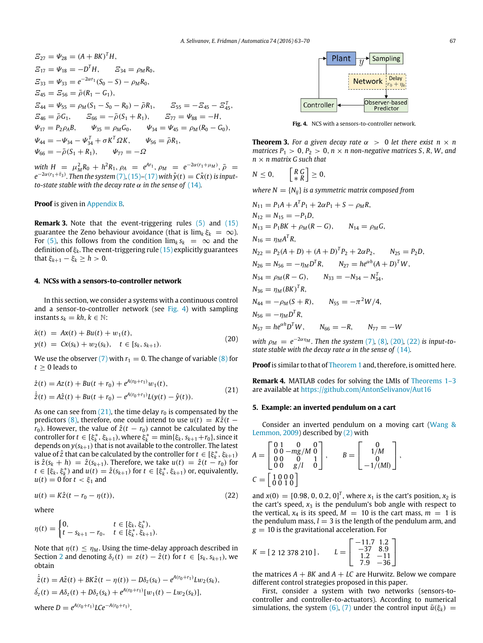$$
E_{27} = \Psi_{28} = (A + BK)^{T}H,
$$
  
\n
$$
E_{17} = \Psi_{18} = -D^{T}H, \qquad E_{34} = \rho_{M}R_{0},
$$
  
\n
$$
E_{33} = \Psi_{33} = e^{-2\alpha r_{1}}(S_{0} - S) - \rho_{M}R_{0},
$$
  
\n
$$
E_{45} = E_{56} = \bar{\rho}(R_{1} - G_{1}),
$$
  
\n
$$
E_{44} = \Psi_{55} = \rho_{M}(S_{1} - S_{0} - R_{0}) - \bar{\rho}R_{1}, \qquad E_{55} = -E_{45} - E_{45}^{T},
$$
  
\n
$$
E_{46} = \bar{\rho}G_{1}, \qquad E_{66} = -\bar{\rho}(S_{1} + R_{1}), \qquad E_{77} = \Psi_{88} = -H,
$$
  
\n
$$
\Psi_{17} = P_{2}\rho_{A}B, \qquad \Psi_{35} = \rho_{M}G_{0}, \qquad \Psi_{34} = \Psi_{45} = \rho_{M}(R_{0} - G_{0}),
$$
  
\n
$$
\Psi_{44} = -\Psi_{34} - \Psi_{34}^{T} + \sigma K^{T}\Omega K, \qquad \Psi_{56} = \bar{\rho}R_{1},
$$
  
\n
$$
\Psi_{66} = -\bar{\rho}(S_{1} + R_{1}), \qquad \Psi_{77} = -\Omega
$$

*with*  $H = \mu_M^2 R_0 + h^2 R_1$ ,  $\rho_A = e^{Ar_1}$ ,  $\rho_M = e^{-2\alpha (r_1 + \mu_M)}$ ,  $\bar{\rho} =$  $e^{-2\alpha(r_1+\bar{r}_3)}$ . Then the system [\(7\)](#page-1-8), [\(15\)](#page-3-2)–[\(17\)](#page-3-3) with  $\hat{y}(t) = C\hat{x}(t)$  is input*to-state stable with the decay rate*  $\alpha$  *in the sense of* [\(14\)](#page-3-4).

### **Proof** is given in [Appendix B.](#page-6-0)

**Remark 3.** Note that the event-triggering rules [\(5\)](#page-1-5) and [\(15\)](#page-3-2) guarantee the Zeno behaviour avoidance (that is  $\lim_k \xi_k = \infty$ ). For [\(5\),](#page-1-5) this follows from the condition  $\lim_k s_k = \infty$  and the definition of ξ*k*. The event-triggering rule [\(15\)](#page-3-2) explicitly guarantees that  $\xi_{k+1} - \xi_k \geq h > 0$ .

#### <span id="page-4-0"></span>**4. NCSs with a sensors-to-controller network**

In this section, we consider a systems with a continuous control and a sensor-to-controller network (see [Fig. 4\)](#page-4-2) with sampling instants  $s_k = kh, k \in \mathbb{N}$ :

$$
\dot{x}(t) = Ax(t) + Bu(t) + w_1(t), \ny(t) = Cx(s_k) + w_2(s_k), \quad t \in [s_k, s_{k+1}).
$$
\n(20)

We use the observer [\(7\)](#page-1-8) with  $r_1 = 0$ . The change of variable [\(8\)](#page-2-0) for  $t > 0$  leads to

$$
\begin{aligned} \dot{z}(t) &= Az(t) + Bu(t + r_0) + e^{A(r_0 + r_1)}w_1(t), \\ \dot{\dot{z}}(t) &= A\hat{z}(t) + Bu(t + r_0) - e^{A(r_0 + r_1)}L(y(t) - \hat{y}(t)). \end{aligned} \tag{21}
$$

As one can see from  $(21)$ , the time delay  $r_0$  is compensated by the predictors [\(8\),](#page-2-0) therefore, one could intend to use  $u(t) = K\hat{z}(t$ *r*<sub>0</sub>). However, the value of  $\hat{z}(t - r_0)$  cannot be calculated by the controller for  $t \in [\xi_k^*, \xi_{k+1})$ , where  $\xi_k^* = \min{\{\xi_k, s_{k+1} + r_0\}}$ , since it depends on  $y(s_{k+1})$  that is not available to the controller. The latest value of  $\hat{z}$  that can be calculated by the controller for  $t \in [\xi_k^*, \xi_{k+1})$ is  $\hat{z}(s_k + h) = \hat{z}(s_{k+1})$ . Therefore, we take  $u(t) = \hat{z}(t - r_0)$  for  $t \in [\xi_k, \xi_k^*)$  and  $u(t) = \hat{z}(s_{k+1})$  for  $t \in [\xi_k^*, \xi_{k+1})$  or, equivalently,  $u(t) = 0$  for  $t < \xi_1$  and

$$
u(t) = K\hat{z}(t - r_0 - \eta(t)),
$$
\n(22)

where

$$
\eta(t) = \begin{cases} 0, & t \in [\xi_k, \xi_k^*), \\ t - s_{k+1} - r_0, & t \in [\xi_k^*, \xi_{k+1}). \end{cases}
$$

Note that  $\eta(t) < \eta_M$ . Using the time-delay approach described in Section [2](#page-1-0) and denoting  $\delta_z(t) = z(t) - \hat{z}(t)$  for  $t \in [s_k, s_{k+1})$ , we obtain

$$
\dot{\hat{z}}(t) = A\hat{z}(t) + BK\hat{z}(t - \eta(t)) - D\delta_z(s_k) - e^{A(r_0 + r_1)}Lw_2(s_k),
$$
  
\n
$$
\dot{\delta_z}(t) = A\delta_z(t) + D\delta_z(s_k) + e^{A(r_0 + r_1)}[w_1(t) - Lw_2(s_k)],
$$
  
\nwhere  $D = e^{A(r_0 + r_1)}LCe^{-A(r_0 + r_1)}.$ 

<span id="page-4-2"></span>

<span id="page-4-6"></span>**Fig. 4.** NCS with a sensors-to-controller network.

**Theorem 3.** For a given decay rate  $\alpha > 0$  let there exist  $n \times n$ *matrices P*<sub>1</sub> > 0, *P*<sub>2</sub> > 0, *n*  $\times$  *n non-negative matrices S, R, W, and n* × *n matrix G such that*

$$
N\leq 0,\qquad \left[\begin{array}{c} R & G \\ * & R \end{array}\right] \geq 0,
$$

*where*  $N = \{N_{ii}\}\$ is a symmetric matrix composed from

$$
N_{11} = P_1A + A^TP_1 + 2\alpha P_1 + S - \rho_M R,
$$
  
\n
$$
N_{12} = N_{15} = -P_1D,
$$
  
\n
$$
N_{13} = P_1BK + \rho_M(R - G), \qquad N_{14} = \rho_M G,
$$
  
\n
$$
N_{16} = \eta_M A^TR,
$$
  
\n
$$
N_{22} = P_2(A + D) + (A + D)^TP_2 + 2\alpha P_2, \qquad N_{25} = P_2D,
$$
  
\n
$$
N_{26} = N_{56} = -\eta_M D^TR, \qquad N_{27} = h e^{\alpha h} (A + D)^TW,
$$
  
\n
$$
N_{34} = \rho_M (R - G), \qquad N_{33} = -N_{34} - N_{34}^T,
$$
  
\n
$$
N_{36} = \eta_M (BK)^TR,
$$
  
\n
$$
N_{44} = -\rho_M (S + R), \qquad N_{55} = -\pi^2 W/4,
$$
  
\n
$$
N_{56} = -\eta_M D^TR,
$$
  
\n
$$
N_{57} = h e^{\alpha h} D^TW, \qquad N_{66} = -R, \qquad N_{77} = -W
$$

<span id="page-4-4"></span>*with*  $\rho_M = e^{-2\alpha \eta_M}$ . Then the system [\(7\)](#page-1-8), [\(8\)](#page-2-0), [\(20\)](#page-4-4), [\(22\)](#page-4-5) is input-to*state stable with the decay rate*  $\alpha$  *in the sense of* [\(14\)](#page-3-4).

**Proof**is similar to that of [Theorem 1](#page-2-4) and, therefore, is omitted here.

<span id="page-4-3"></span>**Remark 4.** MATLAB codes for solving the LMIs of [Theorems 1–3](#page-2-4) are available at <https://github.com/AntonSelivanov/Aut16>

#### <span id="page-4-1"></span>**5. Example: an inverted pendulum on a cart**

Consider an inverted pendulum on a moving cart [\(Wang](#page-7-23) [&](#page-7-23) [Lemmon,](#page-7-23) [2009\)](#page-7-23) described by [\(2\)](#page-1-6) with

$$
A = \begin{bmatrix} 0 & 1 & 0 & 0 \\ 0 & 0 & -mg/M & 0 \\ 0 & 0 & 0 & 1 \\ 0 & 0 & g/l & 0 \end{bmatrix}, \qquad B = \begin{bmatrix} 0 \\ 1/M \\ 0 \\ -1/(Ml) \end{bmatrix},
$$
  

$$
C = \begin{bmatrix} 1 & 0 & 0 & 0 \\ 0 & 0 & 1 & 0 \end{bmatrix}
$$

<span id="page-4-5"></span>and  $x(0) = [0.98, 0, 0.2, 0]^T$ , where  $x_1$  is the cart's position,  $x_2$  is the cart's speed,  $x_3$  is the pendulum's bob angle with respect to the vertical,  $x_4$  is its speed,  $M = 10$  is the cart mass,  $m = 1$  is the pendulum mass,  $l = 3$  is the length of the pendulum arm, and  $g = 10$  is the gravitational acceleration. For

$$
K = [2 \t12 \t378 \t210], \tL = \begin{bmatrix} -11.7 & 1.2 \\ -37 & 8.9 \\ 1.2 & -11 \\ 7.9 & -36 \end{bmatrix}
$$

the matrices  $A + BK$  and  $A + LC$  are Hurwitz. Below we compare different control strategies proposed in this paper.

First, consider a system with two networks (sensors-tocontroller and controller-to-actuators). According to numerical simulations, the system [\(6\),](#page-1-7) [\(7\)](#page-1-8) under the control input  $\bar{u}(\xi_k)$  =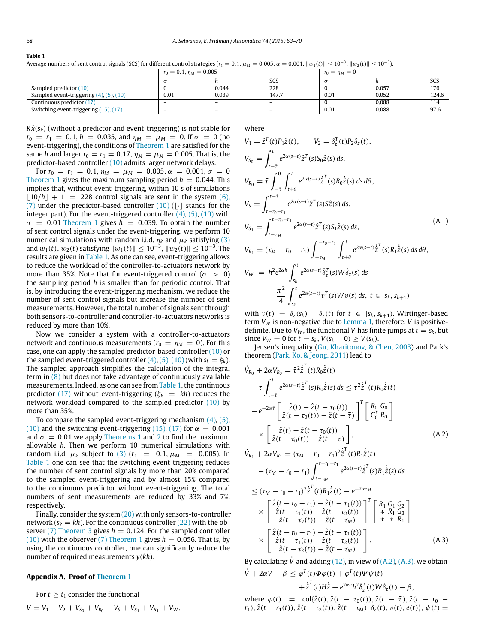#### <span id="page-5-2"></span>**Table 1**

Average numbers of sent control signals (SCS) for different control strategies ( $r_1 = 0.1$ ,  $\mu_M = 0.005$ ,  $\alpha = 0.001$ ,  $\|w_1(t)\| \le 10^{-3}$ ,  $\|w_2(t)\| \le 10^{-3}$ ).

|                                                 | $r_0 = 0.1, \eta_M = 0.005$ |                          |                          |      | $r_0 = \eta_M = 0$ |       |  |
|-------------------------------------------------|-----------------------------|--------------------------|--------------------------|------|--------------------|-------|--|
|                                                 |                             |                          | SCS                      |      |                    | SCS   |  |
| Sampled predictor (10)                          |                             | 0.044                    | 228                      |      | 0.057              | 176   |  |
| Sampled event-triggering $(4)$ , $(5)$ , $(10)$ | 0.01                        | 0.039                    | 147.7                    | 0.01 | 0.052              | 124.6 |  |
| Continuous predictor (17)                       | $\overline{\phantom{0}}$    | $\overline{\phantom{0}}$ | $\overline{\phantom{0}}$ |      | 0.088              | 114   |  |
| Switching event-triggering (15), (17)           | $\overline{\phantom{0}}$    | $\overline{\phantom{0}}$ | $\overline{\phantom{0}}$ | 0.01 | 0.088              | 97.6  |  |

 $K\hat{x}(s_k)$  (without a predictor and event-triggering) is not stable for  $r_0 = r_1 = 0.1$ ,  $h = 0.035$ , and  $\eta_M = \mu_M = 0$ . If  $\sigma = 0$  (no event-triggering), the conditions of [Theorem 1](#page-2-4) are satisfied for the same *h* and larger  $r_0 = r_1 = 0.17$ ,  $\eta_M = \mu_M = 0.005$ . That is, the predictor-based controller [\(10\)](#page-2-2) admits larger network delays.

For  $r_0 = r_1 = 0.1$ ,  $\eta_M = \mu_M = 0.005$ ,  $\alpha = 0.001$ ,  $\sigma = 0$ [Theorem 1](#page-2-4) gives the maximum sampling period  $h = 0.044$ . This implies that, without event-triggering, within 10 s of simulations  $|10/h| + 1 = 228$  control signals are sent in the system [\(6\),](#page-1-7) [\(7\)](#page-1-8) under the predictor-based controller  $(10)$  ( $\lfloor \cdot \rfloor$  stands for the integer part). For the event-triggered controller  $(4)$ ,  $(5)$ ,  $(10)$  with  $\sigma = 0.01$  [Theorem 1](#page-2-4) gives  $h = 0.039$ . To obtain the number of sent control signals under the event-triggering, we perform 10 numerical simulations with random i.i.d.  $\eta_k$  and  $\mu_k$  satisfying [\(3\)](#page-1-10) and  $w_1(t)$ ,  $w_2(t)$  satisfying  $\|w_1(t)\| \leq 10^{-3}$ ,  $\|w_2(t)\| \leq 10^{-3}$ . The results are given in [Table 1.](#page-5-2) As one can see, event-triggering allows to reduce the workload of the controller-to-actuators network by more than 35%. Note that for event-triggered control ( $\sigma > 0$ ) the sampling period *h* is smaller than for periodic control. That is, by introducing the event-triggering mechanism, we reduce the number of sent control signals but increase the number of sent measurements. However, the total number of signals sent through both sensors-to-controller and controller-to-actuators networks is reduced by more than 10%.

Now we consider a system with a controller-to-actuators network and continuous measurements ( $r_0 = \eta_M = 0$ ). For this case, one can apply the sampled predictor-based controller [\(10\)](#page-2-2) or the sampled event-triggered controller  $(4)$ ,  $(5)$ ,  $(10)$  (with  $s_k = \xi_k$ ). The sampled approach simplifies the calculation of the integral term in [\(8\)](#page-2-0) but does not take advantage of continuously available measurements. Indeed, as one can see from [Table 1,](#page-5-2) the continuous predictor [\(17\)](#page-3-3) without event-triggering ( $\xi_k = kh$ ) reduces the network workload compared to the sampled predictor [\(10\)](#page-2-2) by more than 35%.

To compare the sampled event-triggering mechanism [\(4\),](#page-1-9) [\(5\),](#page-1-5) [\(10\)](#page-2-2) and the switching event-triggering [\(15\),](#page-3-2) [\(17\)](#page-3-3) for  $\alpha = 0.001$ and  $\sigma = 0.01$  we apply [Theorems 1](#page-2-4) and [2](#page-3-5) to find the maximum allowable *h*. Then we perform 10 numerical simulations with random i.i.d.  $\mu_k$  subject to [\(3\)](#page-1-10)  $(r_1 = 0.1, \mu_M = 0.005)$ . In [Table 1](#page-5-2) one can see that the switching event-triggering reduces the number of sent control signals by more than 20% compared to the sampled event-triggering and by almost 15% compared to the continuous predictor without event-triggering. The total numbers of sent measurements are reduced by 33% and 7%, respectively.

Finally, consider the system [\(20\)](#page-4-4) with only sensors-to-controller network ( $s_k = kh$ ). For the continuous controller [\(22\)](#page-4-5) with the ob-server [\(7\)](#page-1-8) [Theorem 3](#page-4-6) gives  $h = 0.124$ . For the sampled controller  $(10)$  with the observer [\(7\)](#page-1-8) [Theorem 1](#page-2-4) gives  $h = 0.056$ . That is, by using the continuous controller, one can significantly reduce the number of required measurements *y*(*kh*).

#### **Appendix A. Proof of [Theorem 1](#page-2-4)**

<span id="page-5-1"></span>For  $t > t_1$  consider the functional

$$
V = V_1 + V_2 + V_{S_0} + V_{R_0} + V_S + V_{S_1} + V_{R_1} + V_W,
$$

<span id="page-5-0"></span>where

$$
V_{1} = \hat{z}^{T}(t)P_{1}\hat{z}(t), \qquad V_{2} = \delta_{z}^{T}(t)P_{2}\delta_{z}(t),
$$
\n
$$
V_{S_{0}} = \int_{t-\bar{t}}^{t} e^{2\alpha(s-t)}\hat{z}^{T}(s)S_{0}\hat{z}(s) ds,
$$
\n
$$
V_{R_{0}} = \bar{\tau} \int_{-\bar{\tau}}^{0} \int_{t+\theta}^{t} e^{2\alpha(s-t)}\hat{z}^{T}(s)R_{0}\hat{z}(s) ds d\theta,
$$
\n
$$
V_{S} = \int_{t-\tau_{0}-r_{1}}^{t-\bar{\tau}} e^{2\alpha(s-t)}\hat{z}^{T}(s)S\hat{z}(s) ds,
$$
\n
$$
V_{S_{1}} = \int_{t-\tau_{M}}^{t-\tau_{0}-r_{1}} e^{2\alpha(s-t)}\hat{z}^{T}(s)S_{1}\hat{z}(s) ds,
$$
\n
$$
V_{R_{1}} = (\tau_{M} - r_{0} - r_{1}) \int_{-\tau_{M}}^{-r_{0}-r_{1}} \int_{t+\theta}^{t} e^{2\alpha(s-t)}\hat{z}^{T}(s)R_{1}\hat{z}(s) ds d\theta,
$$
\n
$$
V_{W} = h^{2}e^{2\alpha h} \int_{s_{k}}^{t} e^{2\alpha(s-t)}\delta_{z}^{T}(s)W\delta_{z}(s) ds
$$
\n
$$
- \frac{\pi^{2}}{4} \int_{s_{k}}^{t} e^{2\alpha(s-t)}v^{T}(s)Wv(s) ds, t \in [s_{k}, s_{k+1})
$$
\n(11.1)

with  $v(t) = \delta_z(s_k) - \delta_z(t)$  for  $t \in [s_k, s_{k+1})$ . Wirtinger-based term *V<sup>W</sup>* is non-negative due to [Lemma 1,](#page-1-2) therefore, *V* is positivedefinite. Due to  $V_W$ , the functional *V* has finite jumps at  $t = s_k$ , but since *V*<sup>*W*</sup> = 0 for *t* = *s*<sup>*k*</sup>, *V*(*s*<sup>*k*</sup> − 0) ≥ *V*(*s*<sup>*k*</sup>).

Jensen's inequality [\(Gu,](#page-7-24) [Kharitonov,](#page-7-24) [&](#page-7-24) [Chen,](#page-7-24) [2003\)](#page-7-24) and Park's theorem [\(Park,](#page-7-25) [Ko,](#page-7-25) [&](#page-7-25) [Jeong,](#page-7-25) [2011\)](#page-7-25) lead to

$$
\dot{V}_{R_0} + 2\alpha V_{R_0} = \bar{\tau}^2 \dot{\tilde{z}}^T(t) R_0 \dot{\tilde{z}}(t) \n- \bar{\tau} \int_{t-\bar{\tau}}^t e^{2\alpha(s-t)} \dot{\tilde{z}}^T(s) R_0 \dot{\tilde{z}}(s) ds \leq \bar{\tau}^2 \dot{\tilde{z}}^T(t) R_0 \dot{\tilde{z}}(t) \n- e^{-2\alpha \bar{\tau}} \left[ \dot{z}(t) - \hat{z}(t - \tau_0(t)) - \hat{z}(t - \bar{\tau}) \right]^T \left[ \begin{array}{c} R_0 \ G_0 \\ G_0^T \ R_0 \end{array} \right] \n\times \left[ \dot{z}(t) - \hat{z}(t - \tau_0(t)) - \hat{z}(t - \bar{\tau}) \right], \qquad (A.2)
$$
\n
$$
\dot{V}_{R_1} + 2\alpha V_{R_1} = (\tau_M - r_0 - r_1)^2 \dot{\tilde{z}}^T(t) R_1 \dot{\tilde{z}}(t) \n- (\tau_M - r_0 - r_1) \int_{t-\tau_M}^{t-r_0-r_1} e^{2\alpha(s-t)} \dot{\tilde{z}}^T(s) R_1 \dot{\tilde{z}}(s) ds \n\leq (\tau_M - r_0 - r_1)^2 \dot{\tilde{z}}^T(t) R_1 \dot{\tilde{z}}(t) - e^{-2\alpha \tau_M} \n\times \left[ \begin{array}{c} \hat{z}(t - r_0 - r_1) - \hat{z}(t - \tau_1(t)) \\ \hat{z}(t - \tau_2(t)) - \hat{z}(t - \tau_2(t)) \end{array} \right]^T \left[ \begin{array}{c} R_1 \ G_1 \ G_2 \\ * \ R_1 \ G_3 \\ * \ R_1 \end{array} \right] \n\times \left[ \begin{array}{c} \hat{z}(t - r_0 - r_1) - \hat{z}(t - \tau_1(t)) \\ \hat{z}(t - \tau_2(t)) - \hat{z}(t - \tau_2(t)) \end{array} \right]. \qquad (A.3)
$$

By calculating  $\dot{V}$  and adding [\(12\),](#page-2-5) in view of [\(A.2\),](#page-5-3) [\(A.3\),](#page-5-4) we obtain

$$
\dot{V} + 2\alpha V - \beta \leq \varphi^{T}(t)\overline{\Phi}\varphi(t) + \varphi^{T}(t)\Psi\psi(t) \n+ \dot{\hat{z}}^{T}(t)H\dot{\hat{z}} + e^{2\alpha h}h^{2}\dot{\delta}_{z}^{T}(t)W\dot{\delta}_{z}(t) - \beta,
$$

<span id="page-5-4"></span><span id="page-5-3"></span> $\hat{z}(t - \tau_2(t)) - \hat{z}(t - \tau_M)$ 

where  $\varphi(t) = \text{col}\{\hat{z}(t), \hat{z}(t - \tau_0(t)), \hat{z}(t - \bar{\tau}), \hat{z}(t - r_0 - \bar{r})\}$  $r_1$ ,  $\hat{z}(t - \tau_1(t))$ ,  $\hat{z}(t - \tau_2(t))$ ,  $\hat{z}(t - \tau_M)$ ,  $\delta_z(t)$ ,  $v(t)$ ,  $e(t)$ },  $\psi(t) =$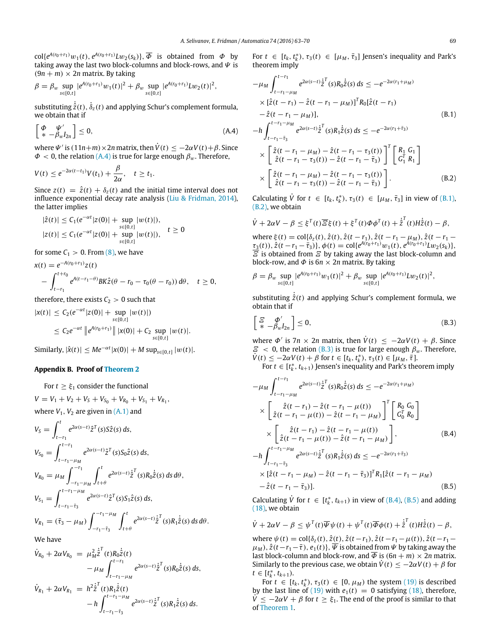$col\{e^{A(r_0+r_1)}w_1(t), e^{A(r_0+r_1)}Lw_2(s_k)\}, \overline{\Phi}$  is obtained from  $\Phi$  by taking away the last two block-columns and block-rows, and  $\Psi$  is  $(9n + m) \times 2n$  matrix. By taking

$$
\beta = \beta_w \sup_{s \in [0,t]} |e^{A(r_0 + r_1)}w_1(t)|^2 + \beta_w \sup_{s \in [0,t]} |e^{A(r_0 + r_1)}Lw_2(t)|^2,
$$

 $\sinh$  substituting  $\dot{\hat{z}}(t),\dot{\delta}_{z}(t)$  and applying Schur's complement formula, we obtain that if

$$
\begin{bmatrix} \Phi & \Psi' \\ * & -\beta_w I_{2n} \end{bmatrix} \le 0, \tag{A.4}
$$

where  $\Psi'$  is  $(11n+m) \times 2n$  matrix, then  $\dot{V}(t) \le -2\alpha V(t) + \beta$ . Since  $\Phi < 0$ , the relation [\(A.4\)](#page-6-1) is true for large enough  $\beta_w$ . Therefore,

$$
V(t) \leq e^{-2\alpha(t-t_1)}V(t_1) + \frac{\beta}{2\alpha}, \quad t \geq t_1.
$$

Since  $z(t) = \hat{z}(t) + \delta_z(t)$  and the initial time interval does not influence exponential decay rate analysis [\(Liu](#page-7-26) [&](#page-7-26) [Fridman,](#page-7-26) [2014\)](#page-7-26), the latter implies

$$
|\hat{z}(t)| \leq C_1(e^{-\alpha t}|z(0)| + \sup_{s \in [0,t]} |w(t)|),
$$
  

$$
|z(t)| \leq C_1(e^{-\alpha t}|z(0)| + \sup_{s \in [0,t]} |w(t)|), \quad t \geq 0
$$

for some  $C_1 > 0$ . From  $(8)$ , we have

$$
x(t) = e^{-A(r_0+r_1)}z(t)
$$
  
 
$$
- \int_{t-r_1}^{t+r_0} e^{A(t-r_1-\theta)}BK\hat{z}(\theta-r_0-\tau_0(\theta-r_0)) d\theta, \quad t \ge 0,
$$

therefore, there exists  $C_2 > 0$  such that

$$
|x(t)| \leq C_2(e^{-\alpha t}|z(0)| + \sup_{s \in [0,t]} |w(t)|)
$$
  
 
$$
\leq C_2 e^{-\alpha t} \left\| e^{A(r_0+r_1)} \right\| |x(0)| + C_2 \sup_{s \in [0,t]} |w(t)|.
$$

 $\text{Similarly, } |\hat{\mathbf{x}}(t)| \leq Me^{-\alpha t} |\mathbf{x}(0)| + M \sup_{s \in [0,t]} |w(t)|.$ 

## <span id="page-6-0"></span>**Appendix B. Proof of [Theorem 2](#page-3-5)**

For  $t \geq \xi_1$  consider the functional  $V = V_1 + V_2 + V_5 + V_{S_0} + V_{R_0} + V_{S_1} + V_{R_1}$ where  $V_1$ ,  $V_2$  are given in  $(A,1)$  and

$$
V_{S} = \int_{t-r_{1}}^{t} e^{2\alpha(s-t)} \hat{z}^{T}(s) S \hat{z}(s) ds,
$$
  
\n
$$
V_{S_{0}} = \int_{t-r_{1}-\mu_{M}}^{t-r_{1}} e^{2\alpha(s-t)} \hat{z}^{T}(s) S_{0} \hat{z}(s) ds,
$$
  
\n
$$
V_{R_{0}} = \mu_{M} \int_{-r_{1}-\mu_{M}}^{-r_{1}} \int_{t+\theta}^{t} e^{2\alpha(s-t)} \hat{z}^{T}(s) R_{0} \hat{z}(s) ds d\theta,
$$
  
\n
$$
V_{S_{1}} = \int_{t-r_{1}-\bar{\tau}_{3}}^{t-r_{1}-\mu_{M}} e^{2\alpha(s-t)} \hat{z}^{T}(s) S_{1} \hat{z}(s) ds,
$$
  
\n
$$
V_{R_{1}} = (\bar{\tau}_{3} - \mu_{M}) \int_{-r_{1}-\bar{\tau}_{3}}^{r_{1}-\mu_{M}} \int_{t+\theta}^{t} e^{2\alpha(s-t)} \hat{z}^{T}(s) R_{1} \hat{z}(s) ds d\theta.
$$

We have

$$
\dot{V}_{R_0} + 2\alpha V_{R_0} = \mu_M^2 \dot{\tilde{z}}^T(t) R_0 \dot{\tilde{z}}(t) \n- \mu_M \int_{t-r_1-\mu_M}^{t-r_1} e^{2\alpha(s-t)} \dot{\tilde{z}}^T(s) R_0 \dot{\tilde{z}}(s) ds, \n\dot{V}_{R_1} + 2\alpha V_{R_1} = h^2 \dot{\tilde{z}}^T(t) R_1 \dot{\tilde{z}}(t) \n- h \int_{t-r_1-\mu_M}^{t-r_1-\mu_M} e^{2\alpha(s-t)} \dot{\tilde{z}}^T(s) R_1 \dot{\tilde{z}}(s) ds.
$$

 $t-r_1-\bar{t}_3$ 

For  $t \in [t_k, t_k^*), \tau_3(t) \in [\mu_M, \bar{\tau}_3]$  Jensen's inequality and Park's theorem imply

<span id="page-6-2"></span><span id="page-6-1"></span>
$$
-\mu_{M} \int_{t-r_{1}-\mu_{M}}^{t-r_{1}} e^{2\alpha(s-t)} \dot{\hat{z}}^{T}(s) R_{0} \dot{\hat{z}}(s) ds \leq -e^{-2\alpha(r_{1}+\mu_{M})}
$$
  
\n
$$
\times [\hat{z}(t-r_{1}) - \hat{z}(t-r_{1}-\mu_{M})]^{T} R_{0} [\hat{z}(t-r_{1})
$$
  
\n
$$
-\hat{z}(t-r_{1}-\mu_{M})],
$$
  
\n
$$
-h \int_{t-r_{1}-\bar{r}_{3}}^{t-r_{1}-\mu_{M}} e^{2\alpha(s-t)} \dot{\hat{z}}^{T}(s) R_{1} \dot{\hat{z}}(s) ds \leq -e^{-2\alpha(r_{1}+\bar{r}_{3})}
$$
  
\n
$$
\times \left[ \hat{z}(t-r_{1}-\mu_{M}) - \hat{z}(t-r_{1}-\tau_{3}(t)) \right]^{T} \left[ \begin{array}{c} R_{1} G_{1} \\ G_{1}^{T} R_{1} \end{array} \right]
$$
  
\n
$$
\times \left[ \begin{array}{c} \hat{z}(t-r_{1}-\mu_{M}) - \hat{z}(t-r_{1}-\tau_{3}(t)) \\ \hat{z}(t-r_{1}-\tau_{3}(t)) - \hat{z}(t-r_{1}-\bar{\tau}_{3}) \end{array} \right] .
$$
  
\n(B.2)

<span id="page-6-3"></span>Calculating  $\dot{V}$  for  $t \in [t_k, t_k^*), \tau_3(t) \in [\mu_M, \bar{\tau}_3]$  in view of [\(B.1\),](#page-6-2) [\(B.2\),](#page-6-3) we obtain

$$
\dot{V} + 2\alpha V - \beta \leq \xi^{T}(t)\overline{\mathcal{Z}}\xi(t) + \xi^{T}(t)\Phi\phi^{T}(t) + \dot{\xi}^{T}(t)H\dot{\xi}(t) - \beta,
$$

where  $\xi(t) = \text{col}\{\delta_z(t), \hat{z}(t), \hat{z}(t - r_1), \hat{z}(t - r_1 - \mu_M), \hat{z}(t - r_1 - \mu_M)\}$  $\tau_3(t)$ ,  $\hat{z}(t - r_1 - \overline{\tau}_3)$ ,  $\phi(t) = \text{col}\lbrace e^{A(r_0 + r_1)}w_1(t), e^{A(r_0 + r_1)}Lw_2(s_k)\rbrace$ ,  $\mathcal E$  is obtained from  $\mathcal E$  by taking away the last block-column and block-row, and  $\Phi$  is  $6n \times 2n$  matrix. By taking

$$
\beta = \beta_w \sup_{s \in [0,t]} |e^{A(r_0 + r_1)}w_1(t)|^2 + \beta_w \sup_{s \in [0,t]} |e^{A(r_0 + r_1)}Lw_2(t)|^2,
$$

substituting  $\dot{\hat{z}}(t)$  and applying Schur's complement formula, we obtain that if

$$
\begin{bmatrix} \mathcal{Z} & \Phi' \\ * & -\beta_w I_{2n} \end{bmatrix} \le 0, \tag{B.3}
$$

where  $\Phi'$  is  $7n \times 2n$  matrix, then  $\dot{V}(t) \le -2\alpha V(t) + \beta$ . Since  $\mathcal{E}$  < 0, the relation [\(B.3\)](#page-6-4) is true for large enough  $\beta_w$ . Therefore,  $\dot{V}(t)$  ≤ −2α $V(t)$  + β for  $t \in [t_k, t_k^*), \tau_3(t) \in [\mu_M, \bar{t}].$ 

<span id="page-6-5"></span><span id="page-6-4"></span>For  $t \in [t_k^*, t_{k+1})$  Jensen's inequality and Park's theorem imply

$$
-\mu_{M} \int_{t-r_{1}-\mu_{M}}^{t-r_{1}} e^{2\alpha(s-t)} \dot{z}^{T}(s) R_{0} \dot{z}(s) ds \leq -e^{-2\alpha(r_{1}+\mu_{M})}
$$
  
\n
$$
\times \left[ \dot{z}(t-r_{1}) - \dot{z}(t-r_{1}-\mu(t)) - \dot{z}(t-r_{1}-\mu_{M}) \right]^{T} \left[ R_{0} G_{0} \right]
$$
  
\n
$$
\times \left[ \dot{z}(t-r_{1}) - \dot{z}(t-r_{1}-\mu(t)) - \dot{z}(t-r_{1}-\mu_{M}) \right],
$$
  
\n
$$
-h \int_{t-r_{1}-\bar{r}_{3}}^{t-r_{1}-\mu_{M}} e^{2\alpha(s-t)} \dot{z}^{T}(s) R_{1} \dot{z}(s) ds \leq -e^{-2\alpha(r_{1}+\bar{r}_{3})}
$$
  
\n
$$
\times \left[ \dot{z}(t-r_{1}-\mu_{M}) - \dot{z}(t-r_{1}-\bar{r}_{3}) \right]^{T} R_{1} [\dot{z}(t-r_{1}-\mu_{M}) - \dot{z}(t-r_{1}-\bar{r}_{3})].
$$
  
\n(B.5)

<span id="page-6-6"></span>Calculating  $\dot{V}$  for  $t \in [t_k^*, t_{k+1})$  in view of [\(B.4\),](#page-6-5) [\(B.5\)](#page-6-6) and adding [\(18\),](#page-3-6) we obtain

$$
\dot{V} + 2\alpha V - \beta \leq \psi^{T}(t)\overline{\Psi}\psi(t) + \psi^{T}(t)\overline{\Phi}\phi(t) + \dot{\hat{z}}^{T}(t)H\dot{\hat{z}}(t) - \beta,
$$

where  $\psi(t) = \text{col}\{\delta_z(t), \hat{z}(t), \hat{z}(t-r_1), \hat{z}(t-r_1-\mu(t)), \hat{z}(t-r_1-\mu(t))\}$  $\mu_M$ ),  $\hat{z}(t-r_1-\overline{\tau})$ ,  $e_1(t)$ },  $\overline{\Psi}$  is obtained from  $\Psi$  by taking away the last block-column and block-row, and  $\overline{\Phi}$  is  $(6n + m) \times 2n$  matrix. Similarly to the previous case, we obtain  $\dot{V}(t) \le -2\alpha V(t) + \beta$  for  $t \in [t_k^*, t_{k+1}).$ 

For  $t \in [t_k, t_k^*), \tau_3(t) \in [0, \mu_M)$  the system [\(19\)](#page-3-7) is described by the last line of [\(19\)](#page-3-7) with  $e_1(t) = 0$  satisfying [\(18\),](#page-3-6) therefore,  $\dot{V} \le -2\alpha V + \beta$  for  $t \ge \xi_1$ . The end of the proof is similar to that of [Theorem 1.](#page-2-4)